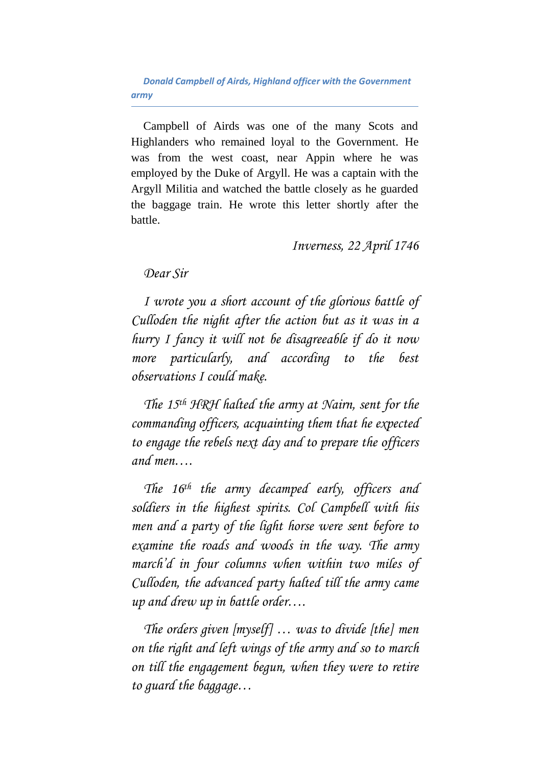*Donald Campbell of Airds, Highland officer with the Government army*

Campbell of Airds was one of the many Scots and Highlanders who remained loyal to the Government. He was from the west coast, near Appin where he was employed by the Duke of Argyll. He was a captain with the Argyll Militia and watched the battle closely as he guarded the baggage train. He wrote this letter shortly after the battle.

*Inverness, 22 April 1746*

## *Dear Sir*

*I wrote you a short account of the glorious battle of Culloden the night after the action but as it was in a hurry I fancy it will not be disagreeable if do it now more particularly, and according to the best observations I could make.*

*The 15th HRH halted the army at Nairn, sent for the commanding officers, acquainting them that he expected to engage the rebels next day and to prepare the officers and men….*

*The 16th the army decamped early, officers and soldiers in the highest spirits. Col Campbell with his men and a party of the light horse were sent before to examine the roads and woods in the way. The army march'd in four columns when within two miles of Culloden, the advanced party halted till the army came up and drew up in battle order….*

*The orders given [myself] … was to divide [the] men on the right and left wings of the army and so to march on till the engagement begun, when they were to retire to guard the baggage…*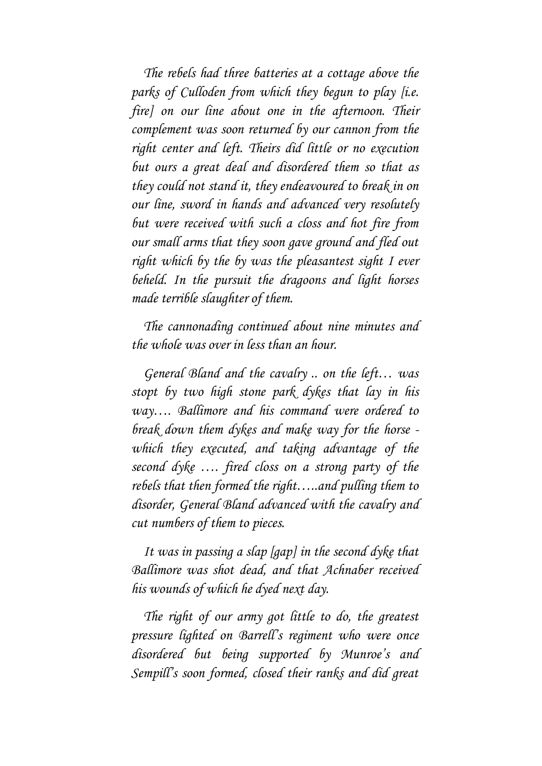*The rebels had three batteries at a cottage above the parks of Culloden from which they begun to play [i.e. fire] on our line about one in the afternoon. Their complement was soon returned by our cannon from the right center and left. Theirs did little or no execution but ours a great deal and disordered them so that as they could not stand it, they endeavoured to break in on our line, sword in hands and advanced very resolutely but were received with such a closs and hot fire from our small arms that they soon gave ground and fled out right which by the by was the pleasantest sight I ever beheld. In the pursuit the dragoons and light horses made terrible slaughter of them.*

*The cannonading continued about nine minutes and the whole was over in less than an hour.*

*General Bland and the cavalry .. on the left… was stopt by two high stone park dykes that lay in his way…. Ballimore and his command were ordered to break down them dykes and make way for the horse which they executed, and taking advantage of the second dyke …. fired closs on a strong party of the rebels that then formed the right…..and pulling them to disorder, General Bland advanced with the cavalry and cut numbers of them to pieces.*

*It was in passing a slap [gap] in the second dyke that Ballimore was shot dead, and that Achnaber received his wounds of which he dyed next day.*

*The right of our army got little to do, the greatest pressure lighted on Barrell's regiment who were once disordered but being supported by Munroe's and Sempill's soon formed, closed their ranks and did great*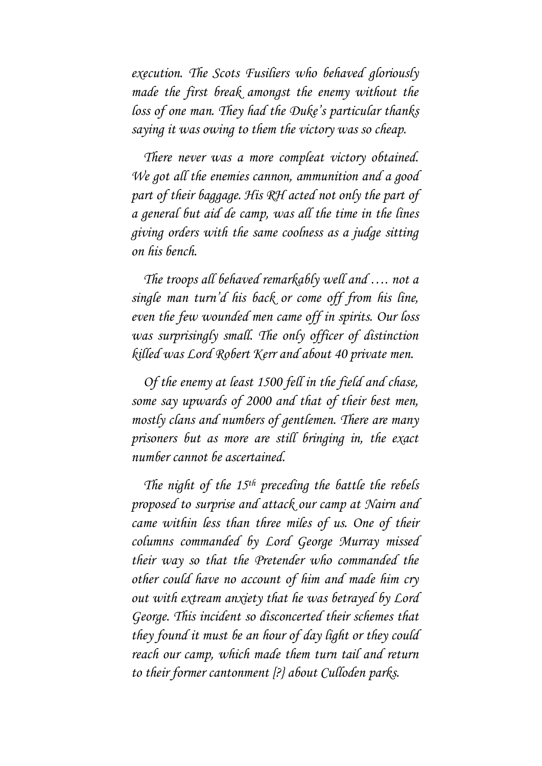*execution. The Scots Fusiliers who behaved gloriously made the first break amongst the enemy without the loss of one man. They had the Duke's particular thanks saying it was owing to them the victory was so cheap.*

*There never was a more compleat victory obtained. We got all the enemies cannon, ammunition and a good part of their baggage. His RH acted not only the part of a general but aid de camp, was all the time in the lines giving orders with the same coolness as a judge sitting on his bench.*

*The troops all behaved remarkably well and …. not a single man turn'd his back or come off from his line, even the few wounded men came off in spirits. Our loss was surprisingly small. The only officer of distinction killed was Lord Robert Kerr and about 40 private men.*

*Of the enemy at least 1500 fell in the field and chase, some say upwards of 2000 and that of their best men, mostly clans and numbers of gentlemen. There are many prisoners but as more are still bringing in, the exact number cannot be ascertained.*

*The night of the 15th preceding the battle the rebels proposed to surprise and attack our camp at Nairn and came within less than three miles of us. One of their columns commanded by Lord George Murray missed their way so that the Pretender who commanded the other could have no account of him and made him cry out with extream anxiety that he was betrayed by Lord George. This incident so disconcerted their schemes that they found it must be an hour of day light or they could reach our camp, which made them turn tail and return to their former cantonment [?} about Culloden parks.*